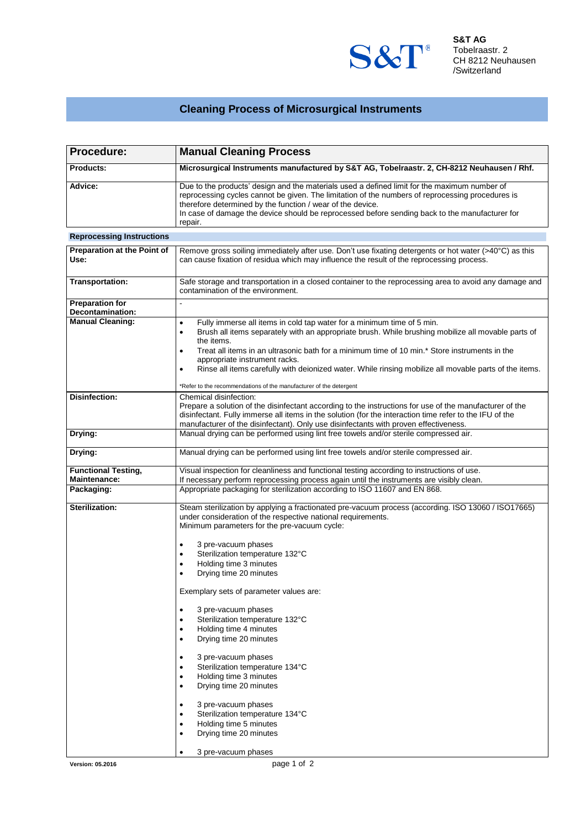

## **Cleaning Process of Microsurgical Instruments**

| Procedure:                                        | <b>Manual Cleaning Process</b>                                                                                                                                                                                                                                                                                                                                                                                                                                                                                                                                                                                                                                                                                                                                                                                                                    |  |  |
|---------------------------------------------------|---------------------------------------------------------------------------------------------------------------------------------------------------------------------------------------------------------------------------------------------------------------------------------------------------------------------------------------------------------------------------------------------------------------------------------------------------------------------------------------------------------------------------------------------------------------------------------------------------------------------------------------------------------------------------------------------------------------------------------------------------------------------------------------------------------------------------------------------------|--|--|
| Products:                                         | Microsurgical Instruments manufactured by S&T AG, Tobelraastr. 2, CH-8212 Neuhausen / Rhf.                                                                                                                                                                                                                                                                                                                                                                                                                                                                                                                                                                                                                                                                                                                                                        |  |  |
| Advice:                                           | Due to the products' design and the materials used a defined limit for the maximum number of<br>reprocessing cycles cannot be given. The limitation of the numbers of reprocessing procedures is<br>therefore determined by the function / wear of the device.<br>In case of damage the device should be reprocessed before sending back to the manufacturer for<br>repair.                                                                                                                                                                                                                                                                                                                                                                                                                                                                       |  |  |
| <b>Reprocessing Instructions</b>                  |                                                                                                                                                                                                                                                                                                                                                                                                                                                                                                                                                                                                                                                                                                                                                                                                                                                   |  |  |
| <b>Preparation at the Point of</b><br>Use:        | Remove gross soiling immediately after use. Don't use fixating detergents or hot water (>40°C) as this<br>can cause fixation of residua which may influence the result of the reprocessing process.                                                                                                                                                                                                                                                                                                                                                                                                                                                                                                                                                                                                                                               |  |  |
| <b>Transportation:</b>                            | Safe storage and transportation in a closed container to the reprocessing area to avoid any damage and<br>contamination of the environment.                                                                                                                                                                                                                                                                                                                                                                                                                                                                                                                                                                                                                                                                                                       |  |  |
| <b>Preparation for</b><br>Decontamination:        |                                                                                                                                                                                                                                                                                                                                                                                                                                                                                                                                                                                                                                                                                                                                                                                                                                                   |  |  |
| <b>Manual Cleaning:</b>                           | Fully immerse all items in cold tap water for a minimum time of 5 min.<br>$\bullet$<br>Brush all items separately with an appropriate brush. While brushing mobilize all movable parts of<br>$\bullet$<br>the items.<br>Treat all items in an ultrasonic bath for a minimum time of 10 min.* Store instruments in the<br>$\bullet$<br>appropriate instrument racks.<br>Rinse all items carefully with deionized water. While rinsing mobilize all movable parts of the items.<br>$\bullet$<br>*Refer to the recommendations of the manufacturer of the detergent                                                                                                                                                                                                                                                                                  |  |  |
| Disinfection:                                     | Chemical disinfection:<br>Prepare a solution of the disinfectant according to the instructions for use of the manufacturer of the<br>disinfectant. Fully immerse all items in the solution (for the interaction time refer to the IFU of the<br>manufacturer of the disinfectant). Only use disinfectants with proven effectiveness.                                                                                                                                                                                                                                                                                                                                                                                                                                                                                                              |  |  |
| Drying:                                           | Manual drying can be performed using lint free towels and/or sterile compressed air.                                                                                                                                                                                                                                                                                                                                                                                                                                                                                                                                                                                                                                                                                                                                                              |  |  |
| Drying:                                           | Manual drying can be performed using lint free towels and/or sterile compressed air.                                                                                                                                                                                                                                                                                                                                                                                                                                                                                                                                                                                                                                                                                                                                                              |  |  |
| <b>Functional Testing,</b><br><b>Maintenance:</b> | Visual inspection for cleanliness and functional testing according to instructions of use.<br>If necessary perform reprocessing process again until the instruments are visibly clean.                                                                                                                                                                                                                                                                                                                                                                                                                                                                                                                                                                                                                                                            |  |  |
| Packaging:                                        | Appropriate packaging for sterilization according to ISO 11607 and EN 868.                                                                                                                                                                                                                                                                                                                                                                                                                                                                                                                                                                                                                                                                                                                                                                        |  |  |
| Sterilization:                                    | Steam sterilization by applying a fractionated pre-vacuum process (according. ISO 13060 / ISO17665)<br>under consideration of the respective national requirements.<br>Minimum parameters for the pre-vacuum cycle:<br>3 pre-vacuum phases<br>$\bullet$<br>Sterilization temperature 132°C<br>Holding time 3 minutes<br>Drying time 20 minutes<br>Exemplary sets of parameter values are:<br>3 pre-vacuum phases<br>٠<br>Sterilization temperature 132°C<br>Holding time 4 minutes<br>٠<br>Drying time 20 minutes<br>٠<br>3 pre-vacuum phases<br>$\bullet$<br>Sterilization temperature 134°C<br>$\bullet$<br>Holding time 3 minutes<br>٠<br>Drying time 20 minutes<br>$\bullet$<br>3 pre-vacuum phases<br>٠<br>Sterilization temperature 134°C<br>$\bullet$<br>Holding time 5 minutes<br>٠<br>Drying time 20 minutes<br>٠<br>3 pre-vacuum phases |  |  |